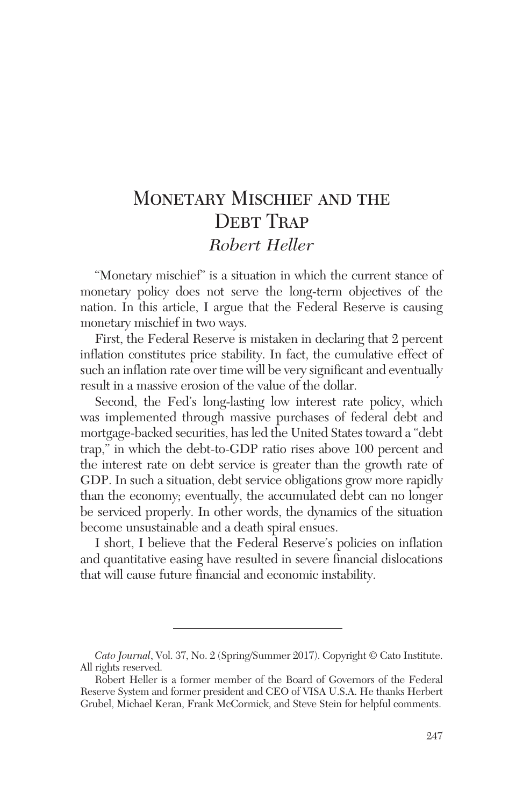# MONETARY MISCHIEF AND THE DEBT TRAP *Robert Heller*

"Monetary mischief" is a situation in which the current stance of monetary policy does not serve the long-term objectives of the nation. In this article, I argue that the Federal Reserve is causing monetary mischief in two ways.

First, the Federal Reserve is mistaken in declaring that 2 percent inflation constitutes price stability. In fact, the cumulative effect of such an inflation rate over time will be very significant and eventually result in a massive erosion of the value of the dollar.

Second, the Fed's long-lasting low interest rate policy, which was implemented through massive purchases of federal debt and mortgage-backed securities, has led the United States toward a "debt trap," in which the debt-to-GDP ratio rises above 100 percent and the interest rate on debt service is greater than the growth rate of GDP. In such a situation, debt service obligations grow more rapidly than the economy; eventually, the accumulated debt can no longer be serviced properly. In other words, the dynamics of the situation become unsustainable and a death spiral ensues.

I short, I believe that the Federal Reserve's policies on inflation and quantitative easing have resulted in severe financial dislocations that will cause future financial and economic instability.

*Cato Journal*, Vol. 37, No. 2 (Spring/Summer 2017). Copyright © Cato Institute. All rights reserved.

Robert Heller is a former member of the Board of Governors of the Federal Reserve System and former president and CEO of VISA U.S.A. He thanks Herbert Grubel, Michael Keran, Frank McCormick, and Steve Stein for helpful comments.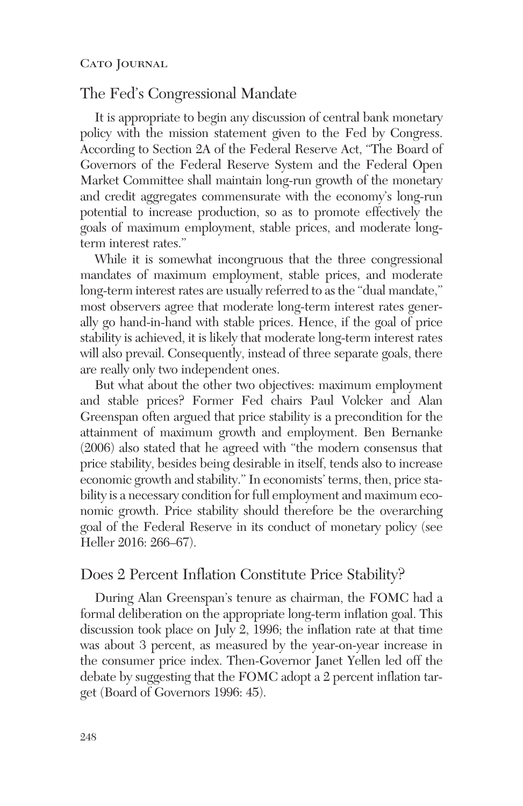# The Fed's Congressional Mandate

It is appropriate to begin any discussion of central bank monetary policy with the mission statement given to the Fed by Congress. According to Section 2A of the Federal Reserve Act, "The Board of Governors of the Federal Reserve System and the Federal Open Market Committee shall maintain long-run growth of the monetary and credit aggregates commensurate with the economy's long-run potential to increase production, so as to promote effectively the goals of maximum employment, stable prices, and moderate longterm interest rates."

While it is somewhat incongruous that the three congressional mandates of maximum employment, stable prices, and moderate long-term interest rates are usually referred to as the "dual mandate," most observers agree that moderate long-term interest rates generally go hand-in-hand with stable prices. Hence, if the goal of price stability is achieved, it is likely that moderate long-term interest rates will also prevail. Consequently, instead of three separate goals, there are really only two independent ones.

But what about the other two objectives: maximum employment and stable prices? Former Fed chairs Paul Volcker and Alan Greenspan often argued that price stability is a precondition for the attainment of maximum growth and employment. Ben Bernanke (2006) also stated that he agreed with "the modern consensus that price stability, besides being desirable in itself, tends also to increase economic growth and stability." In economists' terms, then, price stability is a necessary condition for full employment and maximum economic growth. Price stability should therefore be the overarching goal of the Federal Reserve in its conduct of monetary policy (see Heller 2016: 266–67).

## Does 2 Percent Inflation Constitute Price Stability?

During Alan Greenspan's tenure as chairman, the FOMC had a formal deliberation on the appropriate long-term inflation goal. This discussion took place on July 2, 1996; the inflation rate at that time was about 3 percent, as measured by the year-on-year increase in the consumer price index. Then-Governor Janet Yellen led off the debate by suggesting that the FOMC adopt a 2 percent inflation target (Board of Governors 1996: 45).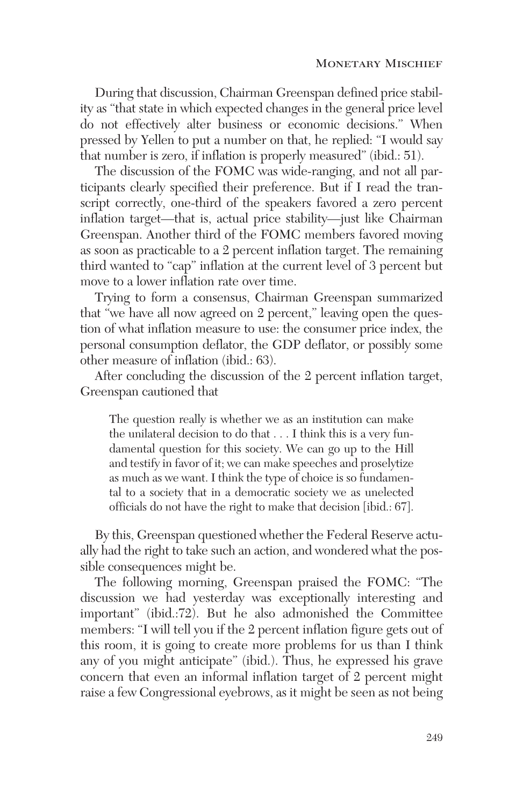During that discussion, Chairman Greenspan defined price stability as "that state in which expected changes in the general price level do not effectively alter business or economic decisions." When pressed by Yellen to put a number on that, he replied: "I would say that number is zero, if inflation is properly measured" (ibid.: 51).

The discussion of the FOMC was wide-ranging, and not all participants clearly specified their preference. But if I read the transcript correctly, one-third of the speakers favored a zero percent inflation target—that is, actual price stability—just like Chairman Greenspan. Another third of the FOMC members favored moving as soon as practicable to a 2 percent inflation target. The remaining third wanted to "cap" inflation at the current level of 3 percent but move to a lower inflation rate over time.

Trying to form a consensus, Chairman Greenspan summarized that "we have all now agreed on 2 percent," leaving open the question of what inflation measure to use: the consumer price index, the personal consumption deflator, the GDP deflator, or possibly some other measure of inflation (ibid.: 63).

After concluding the discussion of the 2 percent inflation target, Greenspan cautioned that

The question really is whether we as an institution can make the unilateral decision to do that . . . I think this is a very fundamental question for this society. We can go up to the Hill and testify in favor of it; we can make speeches and proselytize as much as we want. I think the type of choice is so fundamental to a society that in a democratic society we as unelected officials do not have the right to make that decision [ibid.: 67].

By this, Greenspan questioned whether the Federal Reserve actually had the right to take such an action, and wondered what the possible consequences might be.

The following morning, Greenspan praised the FOMC: "The discussion we had yesterday was exceptionally interesting and important" (ibid.:72). But he also admonished the Committee members: "I will tell you if the 2 percent inflation figure gets out of this room, it is going to create more problems for us than I think any of you might anticipate" (ibid.). Thus, he expressed his grave concern that even an informal inflation target of 2 percent might raise a few Congressional eyebrows, as it might be seen as not being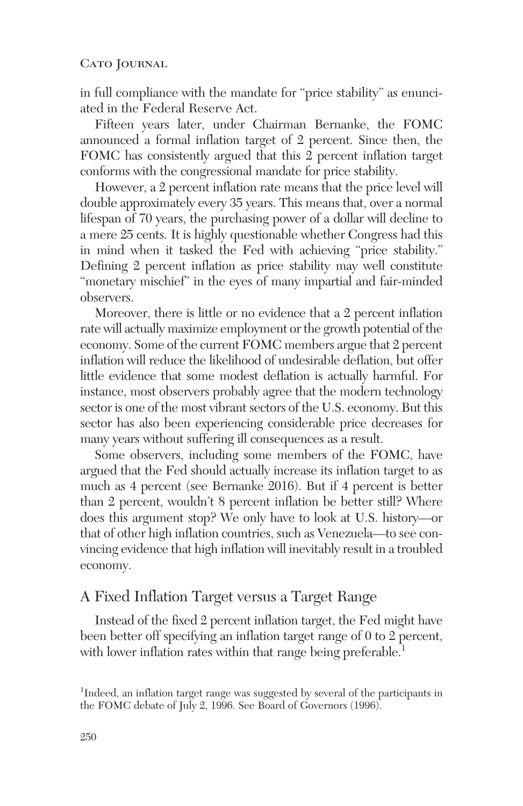in full compliance with the mandate for "price stability" as enunciated in the Federal Reserve Act.

Fifteen years later, under Chairman Bernanke, the FOMC announced a formal inflation target of 2 percent. Since then, the FOMC has consistently argued that this 2 percent inflation target conforms with the congressional mandate for price stability.

However, a 2 percent inflation rate means that the price level will double approximately every 35 years. This means that, over a normal lifespan of 70 years, the purchasing power of a dollar will decline to a mere 25 cents. It is highly questionable whether Congress had this in mind when it tasked the Fed with achieving "price stability." Defining 2 percent inflation as price stability may well constitute "monetary mischief" in the eyes of many impartial and fair-minded observers.

Moreover, there is little or no evidence that a 2 percent inflation rate will actually maximize employment or the growth potential of the economy. Some of the current FOMC members argue that 2 percent inflation will reduce the likelihood of undesirable deflation, but offer little evidence that some modest deflation is actually harmful. For instance, most observers probably agree that the modern technology sector is one of the most vibrant sectors of the U.S. economy. But this sector has also been experiencing considerable price decreases for many years without suffering ill consequences as a result.

Some observers, including some members of the FOMC, have argued that the Fed should actually increase its inflation target to as much as 4 percent (see Bernanke 2016). But if 4 percent is better than 2 percent, wouldn't 8 percent inflation be better still? Where does this argument stop? We only have to look at U.S. history—or that of other high inflation countries, such as Venezuela—to see convincing evidence that high inflation will inevitably result in a troubled economy.

## A Fixed Inflation Target versus a Target Range

Instead of the fixed 2 percent inflation target, the Fed might have been better off specifying an inflation target range of 0 to 2 percent, with lower inflation rates within that range being preferable.<sup>1</sup>

<sup>&</sup>lt;sup>1</sup>Indeed, an inflation target range was suggested by several of the participants in the FOMC debate of July 2, 1996. See Board of Governors (1996).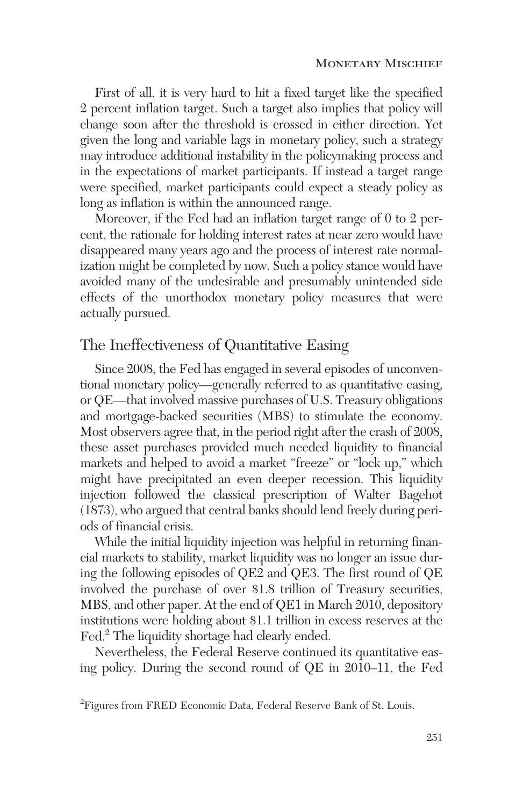First of all, it is very hard to hit a fixed target like the specified 2 percent inflation target. Such a target also implies that policy will change soon after the threshold is crossed in either direction. Yet given the long and variable lags in monetary policy, such a strategy may introduce additional instability in the policymaking process and in the expectations of market participants. If instead a target range were specified, market participants could expect a steady policy as long as inflation is within the announced range.

Moreover, if the Fed had an inflation target range of 0 to 2 percent, the rationale for holding interest rates at near zero would have disappeared many years ago and the process of interest rate normalization might be completed by now. Such a policy stance would have avoided many of the undesirable and presumably unintended side effects of the unorthodox monetary policy measures that were actually pursued.

## The Ineffectiveness of Quantitative Easing

Since 2008, the Fed has engaged in several episodes of unconventional monetary policy—generally referred to as quantitative easing, or QE—that involved massive purchases of U.S. Treasury obligations and mortgage-backed securities (MBS) to stimulate the economy. Most observers agree that, in the period right after the crash of 2008, these asset purchases provided much needed liquidity to financial markets and helped to avoid a market "freeze" or "lock up," which might have precipitated an even deeper recession. This liquidity injection followed the classical prescription of Walter Bagehot (1873), who argued that central banks should lend freely during periods of financial crisis.

While the initial liquidity injection was helpful in returning financial markets to stability, market liquidity was no longer an issue during the following episodes of QE2 and QE3. The first round of QE involved the purchase of over \$1.8 trillion of Treasury securities, MBS, and other paper. At the end of QE1 in March 2010, depository institutions were holding about \$1.1 trillion in excess reserves at the Fed.<sup>2</sup> The liquidity shortage had clearly ended.

Nevertheless, the Federal Reserve continued its quantitative easing policy. During the second round of QE in 2010–11, the Fed

<sup>&</sup>lt;sup>2</sup> Figures from FRED Economic Data, Federal Reserve Bank of St. Louis.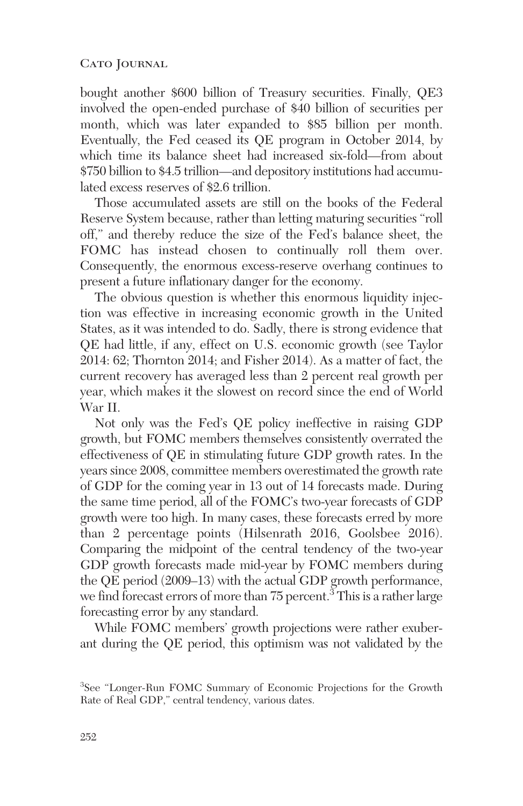bought another \$600 billion of Treasury securities. Finally, QE3 involved the open-ended purchase of \$40 billion of securities per month, which was later expanded to \$85 billion per month. Eventually, the Fed ceased its QE program in October 2014, by which time its balance sheet had increased six-fold—from about \$750 billion to \$4.5 trillion—and depository institutions had accumulated excess reserves of \$2.6 trillion.

Those accumulated assets are still on the books of the Federal Reserve System because, rather than letting maturing securities "roll off," and thereby reduce the size of the Fed's balance sheet, the FOMC has instead chosen to continually roll them over. Consequently, the enormous excess-reserve overhang continues to present a future inflationary danger for the economy.

The obvious question is whether this enormous liquidity injection was effective in increasing economic growth in the United States, as it was intended to do. Sadly, there is strong evidence that QE had little, if any, effect on U.S. economic growth (see Taylor 2014: 62; Thornton 2014; and Fisher 2014). As a matter of fact, the current recovery has averaged less than 2 percent real growth per year, which makes it the slowest on record since the end of World War II.

Not only was the Fed's QE policy ineffective in raising GDP growth, but FOMC members themselves consistently overrated the effectiveness of QE in stimulating future GDP growth rates. In the years since 2008, committee members overestimated the growth rate of GDP for the coming year in 13 out of 14 forecasts made. During the same time period, all of the FOMC's two-year forecasts of GDP growth were too high. In many cases, these forecasts erred by more than 2 percentage points (Hilsenrath 2016, Goolsbee 2016). Comparing the midpoint of the central tendency of the two-year GDP growth forecasts made mid-year by FOMC members during the QE period (2009–13) with the actual GDP growth performance, we find forecast errors of more than  $75$  percent.<sup>3</sup> This is a rather large forecasting error by any standard.

While FOMC members' growth projections were rather exuberant during the QE period, this optimism was not validated by the

<sup>&</sup>lt;sup>3</sup>See "Longer-Run FOMC Summary of Economic Projections for the Growth Rate of Real GDP," central tendency, various dates.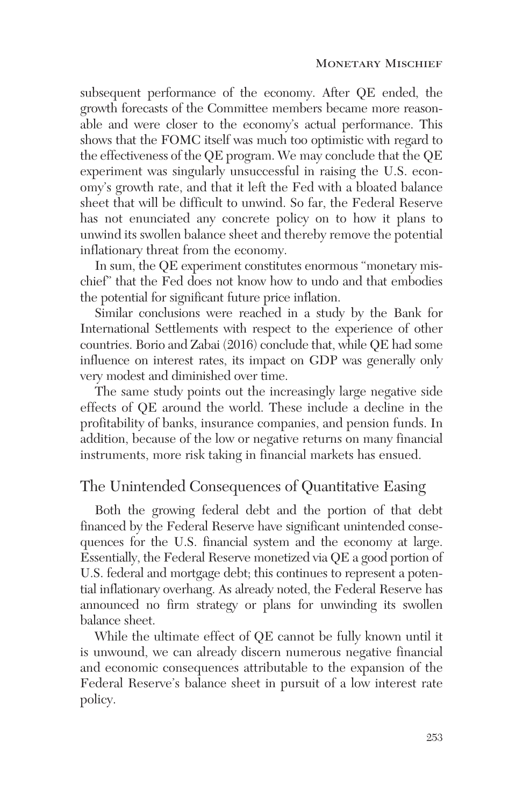subsequent performance of the economy. After QE ended, the growth forecasts of the Committee members became more reasonable and were closer to the economy's actual performance. This shows that the FOMC itself was much too optimistic with regard to the effectiveness of the QE program. We may conclude that the QE experiment was singularly unsuccessful in raising the U.S. economy's growth rate, and that it left the Fed with a bloated balance sheet that will be difficult to unwind. So far, the Federal Reserve has not enunciated any concrete policy on to how it plans to unwind its swollen balance sheet and thereby remove the potential inflationary threat from the economy.

In sum, the QE experiment constitutes enormous "monetary mischief" that the Fed does not know how to undo and that embodies the potential for significant future price inflation.

Similar conclusions were reached in a study by the Bank for International Settlements with respect to the experience of other countries. Borio and Zabai (2016) conclude that, while QE had some influence on interest rates, its impact on GDP was generally only very modest and diminished over time.

The same study points out the increasingly large negative side effects of QE around the world. These include a decline in the profitability of banks, insurance companies, and pension funds. In addition, because of the low or negative returns on many financial instruments, more risk taking in financial markets has ensued.

# The Unintended Consequences of Quantitative Easing

Both the growing federal debt and the portion of that debt financed by the Federal Reserve have significant unintended consequences for the U.S. financial system and the economy at large. Essentially, the Federal Reserve monetized via QE a good portion of U.S. federal and mortgage debt; this continues to represent a potential inflationary overhang. As already noted, the Federal Reserve has announced no firm strategy or plans for unwinding its swollen balance sheet.

While the ultimate effect of QE cannot be fully known until it is unwound, we can already discern numerous negative financial and economic consequences attributable to the expansion of the Federal Reserve's balance sheet in pursuit of a low interest rate policy.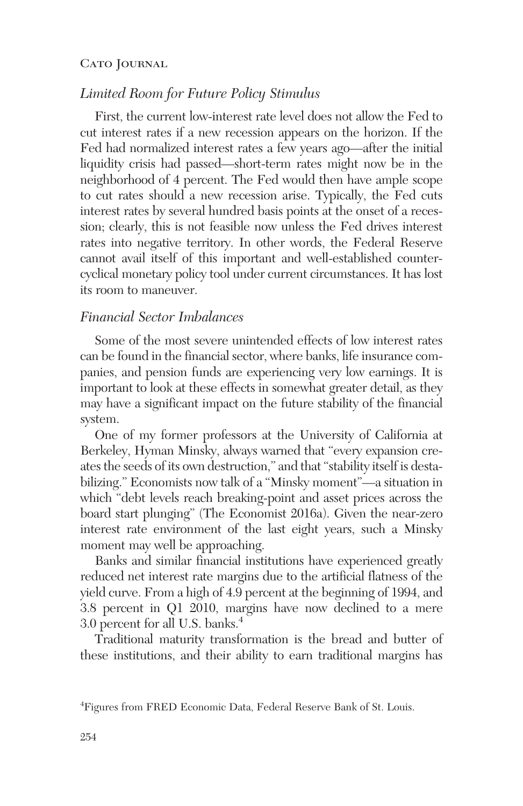## *Limited Room for Future Policy Stimulus*

First, the current low-interest rate level does not allow the Fed to cut interest rates if a new recession appears on the horizon. If the Fed had normalized interest rates a few years ago—after the initial liquidity crisis had passed—short-term rates might now be in the neighborhood of 4 percent. The Fed would then have ample scope to cut rates should a new recession arise. Typically, the Fed cuts interest rates by several hundred basis points at the onset of a recession; clearly, this is not feasible now unless the Fed drives interest rates into negative territory. In other words, the Federal Reserve cannot avail itself of this important and well-established countercyclical monetary policy tool under current circumstances. It has lost its room to maneuver.

#### *Financial Sector Imbalances*

Some of the most severe unintended effects of low interest rates can be found in the financial sector, where banks, life insurance companies, and pension funds are experiencing very low earnings. It is important to look at these effects in somewhat greater detail, as they may have a significant impact on the future stability of the financial system.

One of my former professors at the University of California at Berkeley, Hyman Minsky, always warned that "every expansion creates the seeds of its own destruction," and that "stability itself is destabilizing." Economists now talk of a "Minsky moment"—a situation in which "debt levels reach breaking-point and asset prices across the board start plunging" (The Economist 2016a). Given the near-zero interest rate environment of the last eight years, such a Minsky moment may well be approaching.

Banks and similar financial institutions have experienced greatly reduced net interest rate margins due to the artificial flatness of the yield curve. From a high of 4.9 percent at the beginning of 1994, and 3.8 percent in Q1 2010, margins have now declined to a mere 3.0 percent for all U.S. banks.4

Traditional maturity transformation is the bread and butter of these institutions, and their ability to earn traditional margins has

<sup>4</sup> Figures from FRED Economic Data, Federal Reserve Bank of St. Louis.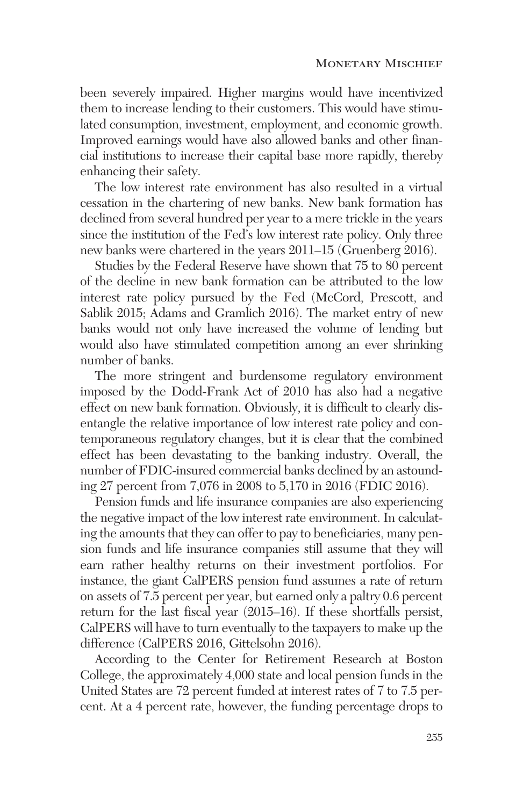been severely impaired. Higher margins would have incentivized them to increase lending to their customers. This would have stimulated consumption, investment, employment, and economic growth. Improved earnings would have also allowed banks and other financial institutions to increase their capital base more rapidly, thereby enhancing their safety.

The low interest rate environment has also resulted in a virtual cessation in the chartering of new banks. New bank formation has declined from several hundred per year to a mere trickle in the years since the institution of the Fed's low interest rate policy. Only three new banks were chartered in the years 2011–15 (Gruenberg 2016).

Studies by the Federal Reserve have shown that 75 to 80 percent of the decline in new bank formation can be attributed to the low interest rate policy pursued by the Fed (McCord, Prescott, and Sablik 2015; Adams and Gramlich 2016). The market entry of new banks would not only have increased the volume of lending but would also have stimulated competition among an ever shrinking number of banks.

The more stringent and burdensome regulatory environment imposed by the Dodd-Frank Act of 2010 has also had a negative effect on new bank formation. Obviously, it is difficult to clearly disentangle the relative importance of low interest rate policy and contemporaneous regulatory changes, but it is clear that the combined effect has been devastating to the banking industry. Overall, the number of FDIC-insured commercial banks declined by an astounding 27 percent from 7,076 in 2008 to 5,170 in 2016 (FDIC 2016).

Pension funds and life insurance companies are also experiencing the negative impact of the low interest rate environment. In calculating the amounts that they can offer to pay to beneficiaries, many pension funds and life insurance companies still assume that they will earn rather healthy returns on their investment portfolios. For instance, the giant CalPERS pension fund assumes a rate of return on assets of 7.5 percent per year, but earned only a paltry 0.6 percent return for the last fiscal year (2015–16). If these shortfalls persist, CalPERS will have to turn eventually to the taxpayers to make up the difference (CalPERS 2016, Gittelsohn 2016).

According to the Center for Retirement Research at Boston College, the approximately 4,000 state and local pension funds in the United States are 72 percent funded at interest rates of 7 to 7.5 percent. At a 4 percent rate, however, the funding percentage drops to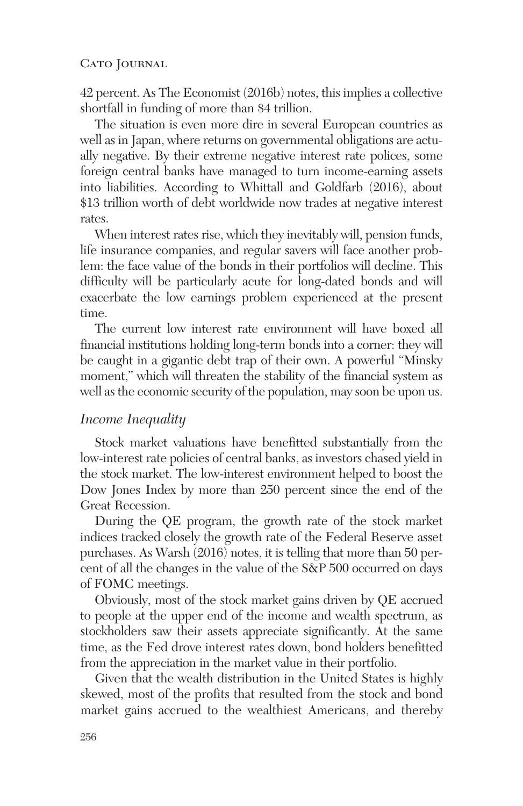42 percent. As The Economist (2016b) notes, this implies a collective shortfall in funding of more than \$4 trillion.

The situation is even more dire in several European countries as well as in Japan, where returns on governmental obligations are actually negative. By their extreme negative interest rate polices, some foreign central banks have managed to turn income-earning assets into liabilities. According to Whittall and Goldfarb (2016), about \$13 trillion worth of debt worldwide now trades at negative interest rates.

When interest rates rise, which they inevitably will, pension funds, life insurance companies, and regular savers will face another problem: the face value of the bonds in their portfolios will decline. This difficulty will be particularly acute for long-dated bonds and will exacerbate the low earnings problem experienced at the present time.

The current low interest rate environment will have boxed all financial institutions holding long-term bonds into a corner: they will be caught in a gigantic debt trap of their own. A powerful "Minsky moment," which will threaten the stability of the financial system as well as the economic security of the population, may soon be upon us.

#### *Income Inequality*

Stock market valuations have benefitted substantially from the low-interest rate policies of central banks, as investors chased yield in the stock market. The low-interest environment helped to boost the Dow Jones Index by more than 250 percent since the end of the Great Recession.

During the QE program, the growth rate of the stock market indices tracked closely the growth rate of the Federal Reserve asset purchases. As Warsh (2016) notes, it is telling that more than 50 percent of all the changes in the value of the S&P 500 occurred on days of FOMC meetings.

Obviously, most of the stock market gains driven by QE accrued to people at the upper end of the income and wealth spectrum, as stockholders saw their assets appreciate significantly. At the same time, as the Fed drove interest rates down, bond holders benefitted from the appreciation in the market value in their portfolio.

Given that the wealth distribution in the United States is highly skewed, most of the profits that resulted from the stock and bond market gains accrued to the wealthiest Americans, and thereby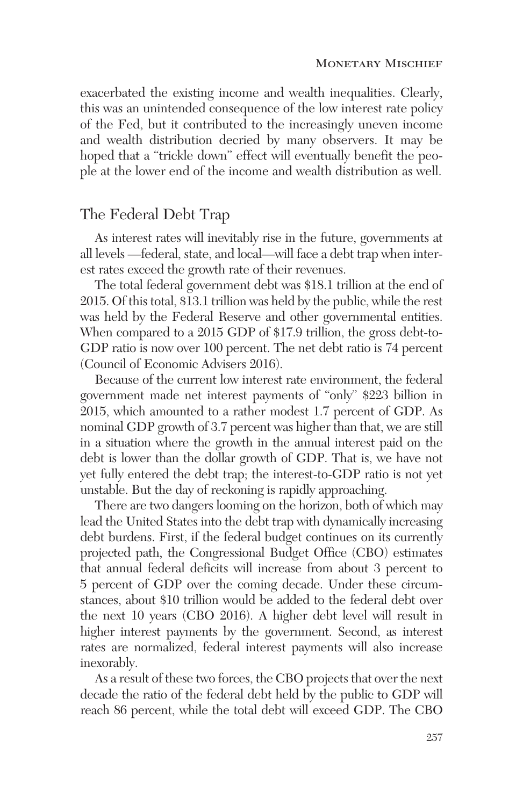exacerbated the existing income and wealth inequalities. Clearly, this was an unintended consequence of the low interest rate policy of the Fed, but it contributed to the increasingly uneven income and wealth distribution decried by many observers. It may be hoped that a "trickle down" effect will eventually benefit the people at the lower end of the income and wealth distribution as well.

# The Federal Debt Trap

As interest rates will inevitably rise in the future, governments at all levels —federal, state, and local—will face a debt trap when interest rates exceed the growth rate of their revenues.

The total federal government debt was \$18.1 trillion at the end of 2015. Of this total, \$13.1 trillion was held by the public, while the rest was held by the Federal Reserve and other governmental entities. When compared to a 2015 GDP of \$17.9 trillion, the gross debt-to-GDP ratio is now over 100 percent. The net debt ratio is 74 percent (Council of Economic Advisers 2016).

Because of the current low interest rate environment, the federal government made net interest payments of "only" \$223 billion in 2015, which amounted to a rather modest 1.7 percent of GDP. As nominal GDP growth of 3.7 percent was higher than that, we are still in a situation where the growth in the annual interest paid on the debt is lower than the dollar growth of GDP. That is, we have not yet fully entered the debt trap; the interest-to-GDP ratio is not yet unstable. But the day of reckoning is rapidly approaching.

There are two dangers looming on the horizon, both of which may lead the United States into the debt trap with dynamically increasing debt burdens. First, if the federal budget continues on its currently projected path, the Congressional Budget Office (CBO) estimates that annual federal deficits will increase from about 3 percent to 5 percent of GDP over the coming decade. Under these circumstances, about \$10 trillion would be added to the federal debt over the next 10 years (CBO 2016). A higher debt level will result in higher interest payments by the government. Second, as interest rates are normalized, federal interest payments will also increase inexorably.

As a result of these two forces, the CBO projects that over the next decade the ratio of the federal debt held by the public to GDP will reach 86 percent, while the total debt will exceed GDP. The CBO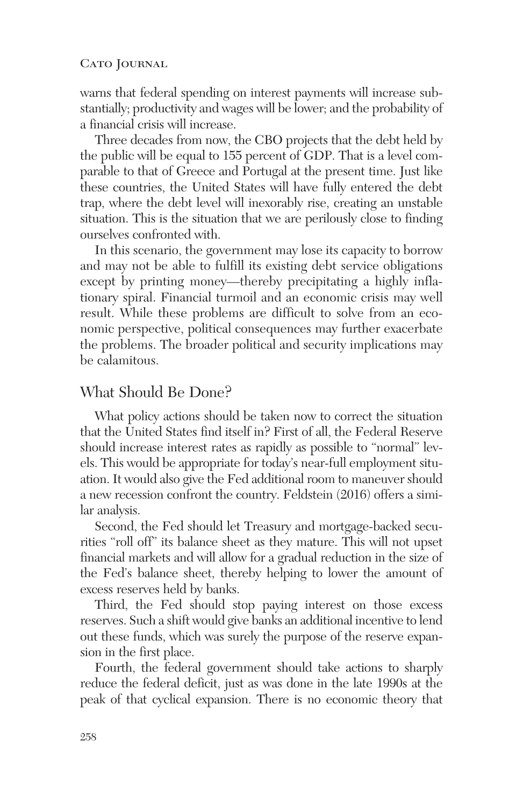warns that federal spending on interest payments will increase substantially; productivity and wages will be lower; and the probability of a financial crisis will increase.

Three decades from now, the CBO projects that the debt held by the public will be equal to 155 percent of GDP. That is a level comparable to that of Greece and Portugal at the present time. Just like these countries, the United States will have fully entered the debt trap, where the debt level will inexorably rise, creating an unstable situation. This is the situation that we are perilously close to finding ourselves confronted with.

In this scenario, the government may lose its capacity to borrow and may not be able to fulfill its existing debt service obligations except by printing money—thereby precipitating a highly inflationary spiral. Financial turmoil and an economic crisis may well result. While these problems are difficult to solve from an economic perspective, political consequences may further exacerbate the problems. The broader political and security implications may be calamitous.

## What Should Be Done?

What policy actions should be taken now to correct the situation that the United States find itself in? First of all, the Federal Reserve should increase interest rates as rapidly as possible to "normal" levels. This would be appropriate for today's near-full employment situation. It would also give the Fed additional room to maneuver should a new recession confront the country. Feldstein (2016) offers a similar analysis.

Second, the Fed should let Treasury and mortgage-backed securities "roll off" its balance sheet as they mature. This will not upset financial markets and will allow for a gradual reduction in the size of the Fed's balance sheet, thereby helping to lower the amount of excess reserves held by banks.

Third, the Fed should stop paying interest on those excess reserves. Such a shift would give banks an additional incentive to lend out these funds, which was surely the purpose of the reserve expansion in the first place.

Fourth, the federal government should take actions to sharply reduce the federal deficit, just as was done in the late 1990s at the peak of that cyclical expansion. There is no economic theory that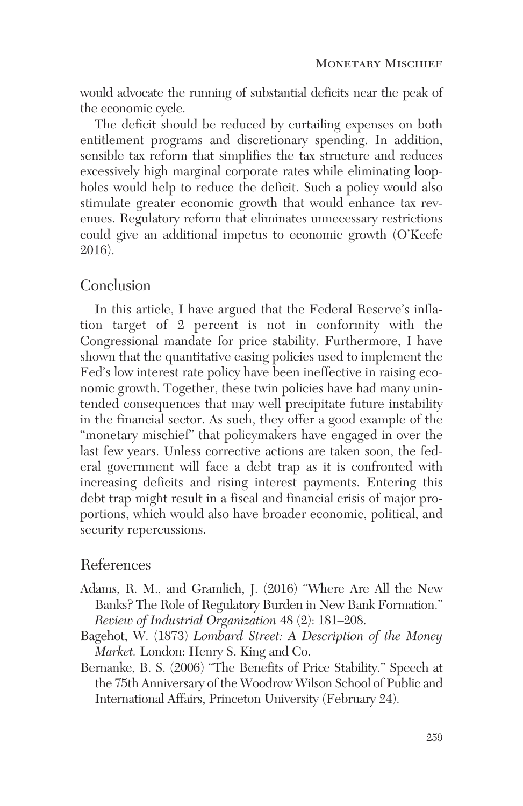would advocate the running of substantial deficits near the peak of the economic cycle.

The deficit should be reduced by curtailing expenses on both entitlement programs and discretionary spending. In addition, sensible tax reform that simplifies the tax structure and reduces excessively high marginal corporate rates while eliminating loopholes would help to reduce the deficit. Such a policy would also stimulate greater economic growth that would enhance tax revenues. Regulatory reform that eliminates unnecessary restrictions could give an additional impetus to economic growth (O'Keefe 2016).

## Conclusion

In this article, I have argued that the Federal Reserve's inflation target of 2 percent is not in conformity with the Congressional mandate for price stability. Furthermore, I have shown that the quantitative easing policies used to implement the Fed's low interest rate policy have been ineffective in raising economic growth. Together, these twin policies have had many unintended consequences that may well precipitate future instability in the financial sector. As such, they offer a good example of the "monetary mischief" that policymakers have engaged in over the last few years. Unless corrective actions are taken soon, the federal government will face a debt trap as it is confronted with increasing deficits and rising interest payments. Entering this debt trap might result in a fiscal and financial crisis of major proportions, which would also have broader economic, political, and security repercussions.

## References

- Adams, R. M., and Gramlich, J. (2016) "Where Are All the New Banks? The Role of Regulatory Burden in New Bank Formation." *Review of Industrial Organization* 48 (2): 181–208.
- Bagehot, W. (1873) *Lombard Street: A Description of the Money Market.* London: Henry S. King and Co.
- Bernanke, B. S. (2006) "The Benefits of Price Stability." Speech at the 75th Anniversary of the Woodrow Wilson School of Public and International Affairs, Princeton University (February 24).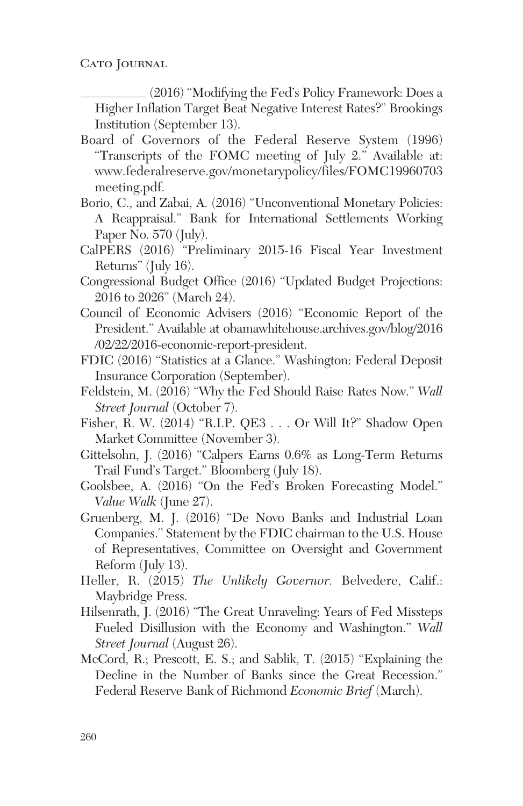(2016) "Modifying the Fed's Policy Framework: Does a Higher Inflation Target Beat Negative Interest Rates?" Brookings Institution (September 13).

- Board of Governors of the Federal Reserve System (1996) "Transcripts of the FOMC meeting of July 2." Available at: www.federalreserve.gov/monetarypolicy/files/FOMC19960703 meeting.pdf.
- Borio, C., and Zabai, A. (2016) "Unconventional Monetary Policies: A Reappraisal." Bank for International Settlements Working Paper No. 570 (July).
- CalPERS (2016) "Preliminary 2015-16 Fiscal Year Investment Returns" (July 16).
- Congressional Budget Office (2016) "Updated Budget Projections: 2016 to 2026" (March 24).
- Council of Economic Advisers (2016) "Economic Report of the President." Available at obamawhitehouse.archives.gov/blog/2016 /02/22/2016-economic-report-president.
- FDIC (2016) "Statistics at a Glance." Washington: Federal Deposit Insurance Corporation (September).
- Feldstein, M. (2016) "Why the Fed Should Raise Rates Now." *Wall Street Journal* (October 7).
- Fisher, R. W. (2014) "R.I.P. QE3 . . . Or Will It?" Shadow Open Market Committee (November 3).
- Gittelsohn, J. (2016) "Calpers Earns 0.6% as Long-Term Returns Trail Fund's Target." Bloomberg (July 18).
- Goolsbee, A. (2016) "On the Fed's Broken Forecasting Model." *Value Walk* (June 27).
- Gruenberg, M. J. (2016) "De Novo Banks and Industrial Loan Companies." Statement by the FDIC chairman to the U.S. House of Representatives, Committee on Oversight and Government Reform (July 13).
- Heller, R. (2015) *The Unlikely Governor.* Belvedere, Calif.: Maybridge Press.
- Hilsenrath, J. (2016) "The Great Unraveling: Years of Fed Missteps Fueled Disillusion with the Economy and Washington." *Wall Street Journal* (August 26).
- McCord, R.; Prescott, E. S.; and Sablik, T. (2015) "Explaining the Decline in the Number of Banks since the Great Recession." Federal Reserve Bank of Richmond *Economic Brief* (March).